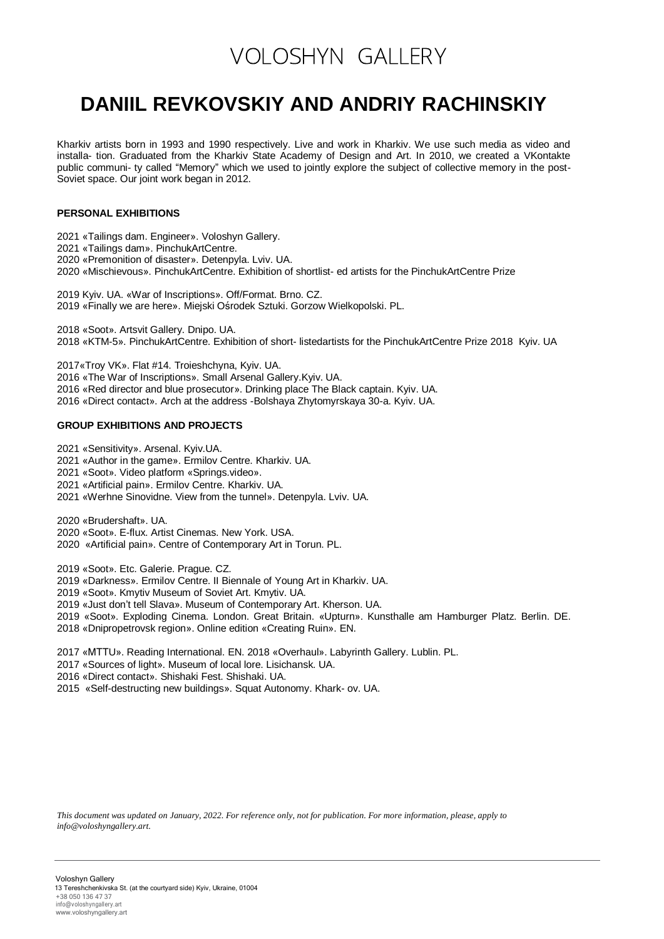## **VOLOSHYN GALLERY**

### **DANIIL REVKOVSKIY AND ANDRIY RACHINSKIY**

Kharkiv artists born in 1993 and 1990 respectively. Live and work in Kharkiv. We use such media as video and installa- tion. Graduated from the Kharkiv State Academy of Design and Art. In 2010, we created a VKontakte public communi- ty called "Memory" which we used to jointly explore the subject of collective memory in the post-Soviet space. Our joint work began in 2012.

#### **PERSONAL EXHIBITIONS**

- «Tailings dam. Engineer». Voloshyn Gallery.
- «Tailings dam». PinchukArtCentre.
- «Premonition of disaster». Detenpyla. Lviv. UA.
- «Mischievous». PinchukArtCentre. Exhibition of shortlist- ed artists for the PinchukArtCentre Prize

 Kyiv. UA. «War of Inscriptions». Off/Format. Brno. CZ. «Finally we are here». Miejski Ośrodek Sztuki. Gorzow Wielkopolski. PL.

«Soot». Artsvit Gallery. Dnipo. UA. «KTM-5». PinchukArtCentre. Exhibition of short- listedartists for the PinchukArtCentre Prize 2018 Kyiv. UA

«Troy VK». Flat #14. Troieshchyna, Kyiv. UA.

- «The War of Inscriptions». Small Arsenal Gallery.Kyiv. UA.
- «Red director and blue prosecutor». Drinking place The Black captain. Kyiv. UA.
- «Direct contact». Arch at the address -Bolshaya Zhytomyrskaya 30-a. Kyiv. UA.

#### **GROUP EXHIBITIONS AND PROJECTS**

«Sensitivity». Arsenal. Kyiv.UA.

- «Author in the game». Ermilov Centre. Kharkiv. UA.
- «Soot». Video platform «Springs.video».
- «Artificial pain». Ermilov Centre. Kharkiv. UA.
- «Werhne Sinovidne. View from the tunnel». Detenpyla. Lviv. UA.

«Brudershaft». UA.

- «Soot». E-flux. Artist Cinemas. New York. USA.
- «Artificial pain». Centre of Contemporary Art in Torun. PL.

«Soot». Etc. Galerie. Prague. CZ.

- «Darkness». Ermilov Centre. II Biennale of Young Art in Kharkiv. UA.
- «Soot». Kmytiv Museum of Soviet Art. Kmytiv. UA.
- «Just don't tell Slava». Museum of Contemporary Art. Kherson. UA.
- «Soot». Exploding Cinema. London. Great Britain. «Upturn». Kunsthalle am Hamburger Platz. Berlin. DE.
- «Dnipropetrovsk region». Online edition «Creating Ruin». EN.
- «МТТU». Reading International. EN. 2018 «Overhaul». Labyrinth Gallery. Lublin. PL.
- «Sources of light». Museum of local lore. Lisichansk. UA.
- «Direct contact». Shishaki Fest. Shishaki. UA.
- «Self-destructing new buildings». Squat Autonomy. Khark- ov. UA.

*This document was updated on January, 2022. For reference only, not for publication. For more information, please, apply to info@voloshyngallery.art.*